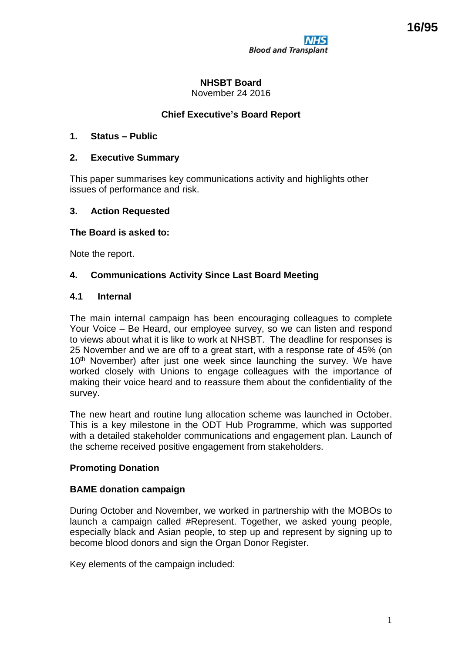# **NHSBT Board**

November 24 2016

# **Chief Executive's Board Report**

## **1. Status – Public**

## **2. Executive Summary**

This paper summarises key communications activity and highlights other issues of performance and risk.

## **3. Action Requested**

#### **The Board is asked to:**

Note the report.

## **4. Communications Activity Since Last Board Meeting**

#### **4.1 Internal**

The main internal campaign has been encouraging colleagues to complete Your Voice – Be Heard, our employee survey, so we can listen and respond to views about what it is like to work at NHSBT. The deadline for responses is 25 November and we are off to a great start, with a response rate of 45% (on 10<sup>th</sup> November) after just one week since launching the survey. We have worked closely with Unions to engage colleagues with the importance of making their voice heard and to reassure them about the confidentiality of the survey.

The new heart and routine lung allocation scheme was launched in October. This is a key milestone in the ODT Hub Programme, which was supported with a detailed stakeholder communications and engagement plan. Launch of the scheme received positive engagement from stakeholders.

#### **Promoting Donation**

#### **BAME donation campaign**

During October and November, we worked in partnership with the MOBOs to launch a campaign called #Represent. Together, we asked young people, especially black and Asian people, to step up and represent by signing up to become blood donors and sign the Organ Donor Register.

Key elements of the campaign included: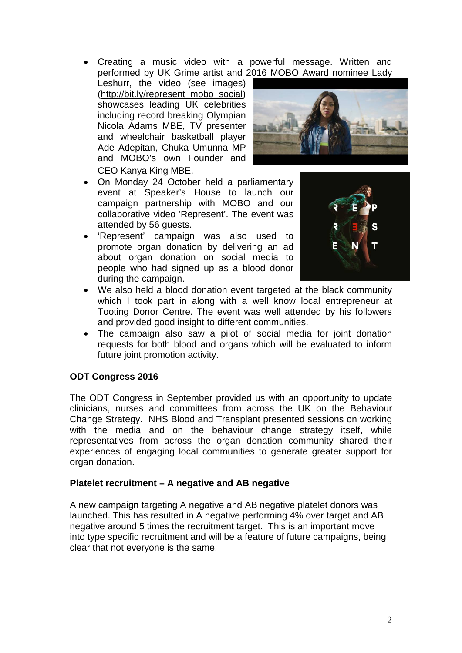• Creating a music video with a powerful message. Written and performed by UK Grime artist and 2016 MOBO Award nominee Lady

Leshurr, the video (see images) [\(http://bit.ly/represent\\_mobo\\_social\)](http://bit.ly/represent_mobo_social) showcases leading UK celebrities including record breaking Olympian Nicola Adams MBE, TV presenter and wheelchair basketball player Ade Adepitan, Chuka Umunna MP and MOBO's own Founder and CEO Kanya King MBE.



- On Monday 24 October held a parliamentary event at Speaker's House to launch our campaign partnership with MOBO and our collaborative video 'Represent'. The event was attended by 56 guests.
- 'Represent' campaign was also used to promote organ donation by delivering an ad about organ donation on social media to people who had signed up as a blood donor during the campaign.



- We also held a blood donation event targeted at the black community which I took part in along with a well know local entrepreneur at Tooting Donor Centre. The event was well attended by his followers and provided good insight to different communities.
- The campaign also saw a pilot of social media for joint donation requests for both blood and organs which will be evaluated to inform future joint promotion activity.

#### **ODT Congress 2016**

The ODT Congress in September provided us with an opportunity to update clinicians, nurses and committees from across the UK on the Behaviour Change Strategy. NHS Blood and Transplant presented sessions on working with the media and on the behaviour change strategy itself, while representatives from across the organ donation community shared their experiences of engaging local communities to generate greater support for organ donation.

#### **Platelet recruitment – A negative and AB negative**

A new campaign targeting A negative and AB negative platelet donors was launched. This has resulted in A negative performing 4% over target and AB negative around 5 times the recruitment target. This is an important move into type specific recruitment and will be a feature of future campaigns, being clear that not everyone is the same.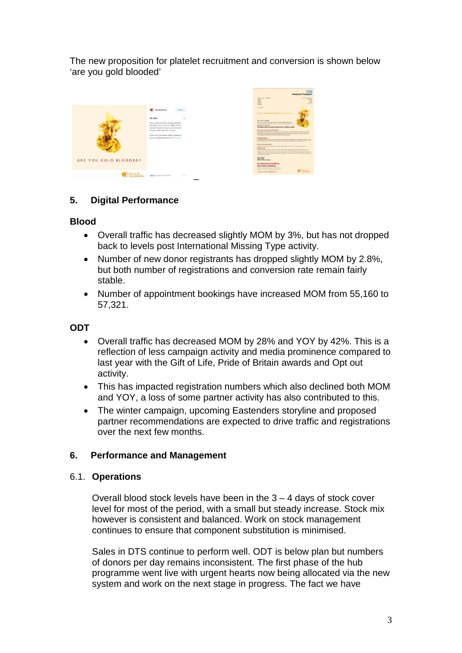The new proposition for platelet recruitment and conversion is shown below 'are you gold blooded'



# **5. Digital Performance**

## **Blood**

- Overall traffic has decreased slightly MOM by 3%, but has not dropped back to levels post International Missing Type activity.
- Number of new donor registrants has dropped slightly MOM by 2.8%, but both number of registrations and conversion rate remain fairly stable.
- Number of appointment bookings have increased MOM from 55,160 to 57,321.

# **ODT**

- Overall traffic has decreased MOM by 28% and YOY by 42%. This is a reflection of less campaign activity and media prominence compared to last year with the Gift of Life, Pride of Britain awards and Opt out activity.
- This has impacted registration numbers which also declined both MOM and YOY, a loss of some partner activity has also contributed to this.
- The winter campaign, upcoming Eastenders storyline and proposed partner recommendations are expected to drive traffic and registrations over the next few months.

# **6. Performance and Management**

#### 6.1. **Operations**

Overall blood stock levels have been in the 3 – 4 days of stock cover level for most of the period, with a small but steady increase. Stock mix however is consistent and balanced. Work on stock management continues to ensure that component substitution is minimised.

Sales in DTS continue to perform well. ODT is below plan but numbers of donors per day remains inconsistent. The first phase of the hub programme went live with urgent hearts now being allocated via the new system and work on the next stage in progress. The fact we have